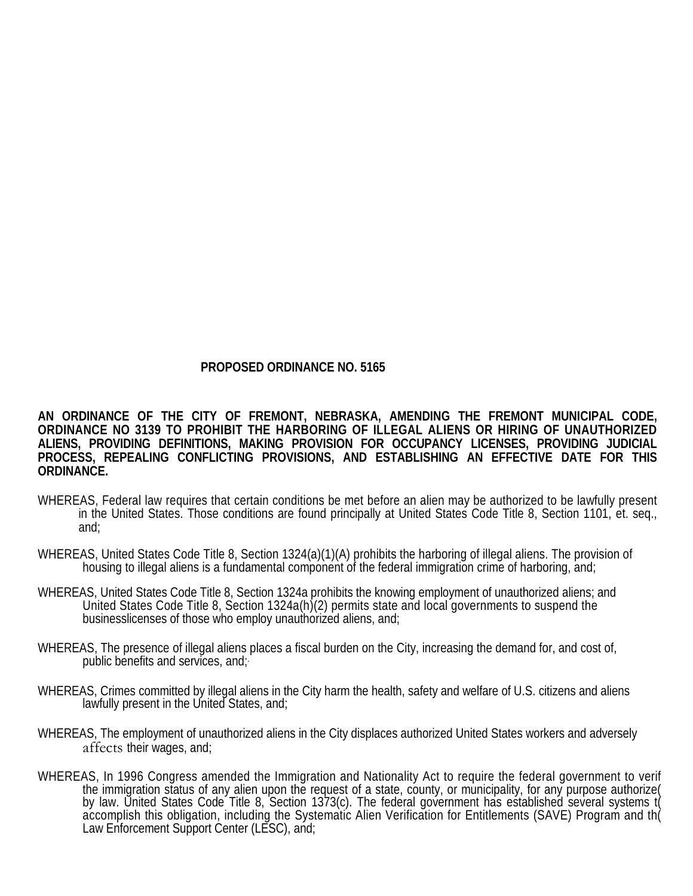# **PROPOSED ORDINANCE NO. 5165**

**AN ORDINANCE OF THE CITY OF FREMONT, NEBRASKA, AMENDING THE FREMONT MUNICIPAL CODE, ORDINANCE NO 3139 TO PROHIBIT THE HARBORING OF ILLEGAL ALIENS OR HIRING OF UNAUTHORIZED ALIENS, PROVIDING DEFINITIONS, MAKING PROVISION FOR OCCUPANCY LICENSES, PROVIDING JUDICIAL PROCESS, REPEALING CONFLICTING PROVISIONS, AND ESTABLISHING AN EFFECTIVE DATE FOR THIS ORDINANCE.** 

- WHEREAS, Federal law requires that certain conditions be met before an alien may be authorized to be lawfully present in the United States. Those conditions are found principally at United States Code Title 8, Section 1101, et. seq., and;
- WHEREAS, United States Code Title 8, Section 1324(a)(1)(A) prohibits the harboring of illegal aliens. The provision of housing to illegal aliens is a fundamental component of the federal immigration crime of harboring, and;
- WHEREAS, United States Code Title 8, Section 1324a prohibits the knowing employment of unauthorized aliens; and<br>United States Code Title 8, Section 1324a(h)(2) permits state and local governments to suspend the businesslicenses of those who employ unauthorized aliens, and;
- WHEREAS, The presence of illegal aliens places a fiscal burden on the City, increasing the demand for, and cost of, public benefits and services, and;.
- WHEREAS, Crimes committed by illegal aliens in the City harm the health, safety and welfare of U.S. citizens and aliens lawfully present in the United States, and;
- WHEREAS, The employment of unauthorized aliens in the City displaces authorized United States workers and adversely affects their wages, and;
- WHEREAS, In 1996 Congress amended the Immigration and Nationality Act to require the federal government to verif<br>the immigration status of any alien upon the request of a state, county, or municipality, for any purpose aut accomplish this obligation, including the Systematic Alien Verification for Entitlements (SAVE) Program and th( by law. United States Code Title 8, Section 1373(c). The federal government has established several systems t( Law Enforcement Support Center (LESC), and;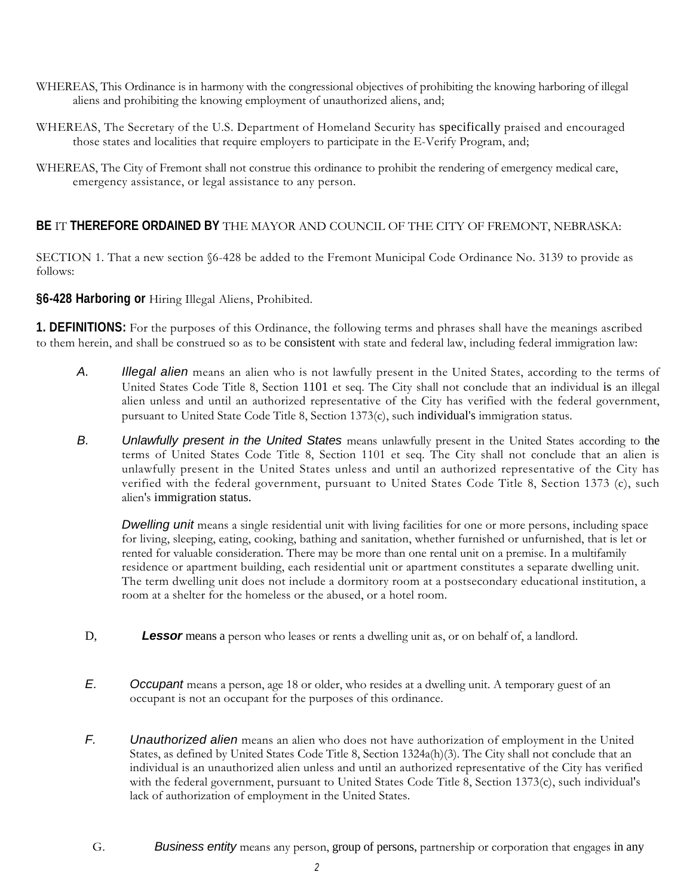- aliens and prohibiting the knowing employment of unauthorized aliens, and; WHEREAS, This Ordinance is in harmony with the congressional objectives of prohibiting the knowing harboring of illegal
- WHEREAS, The Secretary of the U.S. Department of Homeland Security has specifically praised and encouraged those states and localities that require employers to participate in the E-Verify Program, and;
- WHEREAS, The City of Fremont shall not construe this ordinance to prohibit the rendering of emergency medical care, emergency assistance, or legal assistance to any person.

# **BE** IT **THEREFORE ORDAINED BY** THE MAYOR AND COUNCIL OF THE CITY OF FREMONT, NEBRASKA:

SECTION 1. That a new section §6-428 be added to the Fremont Municipal Code Ordinance No. 3139 to provide as follows:

**§6-428 Harboring or** Hiring Illegal Aliens, Prohibited.

 **1. DEFINITIONS:** For the purposes of this Ordinance, the following terms and phrases shall have the meanings ascribed to them herein, and shall be construed so as to be consistent with state and federal law, including federal immigration law:

- United States Code Title 8, Section 1101 et seq. The City shall not conclude that an individual is an illegal alien unless and until an authorized representative of the City has verified with the federal government, *A. Illegal alien* means an alien who is not lawfully present in the United States, according to the terms of pursuant to United State Code Title 8, Section 1373(c), such individual's immigration status.
- *B. Unlawfully present in the United States* means unlawfully present in the United States according to the terms of United States Code Title 8, Section 1101 et seq. The City shall not conclude that an alien is unlawfully present in the United States unless and until an authorized representative of the City has verified with the federal government, pursuant to United States Code Title 8, Section 1373 (c), such alien's immigration status.

**Dwelling unit** means a single residential unit with living facilities for one or more persons, including space for living, sleeping, eating, cooking, bathing and sanitation, whether furnished or unfurnished, that is let or residence or apartment building, each residential unit or apartment constitutes a separate dwelling unit. rented for valuable consideration. There may be more than one rental unit on a premise. In a multifamily The term dwelling unit does not include a dormitory room at a postsecondary educational institution, a room at a shelter for the homeless or the abused, or a hotel room.

- D, **Lessor** means a person who leases or rents a dwelling unit as, or on behalf of, a landlord.
- *E. Occupant* means a person, age 18 or older, who resides at a dwelling unit. A temporary guest of an occupant is not an occupant for the purposes of this ordinance.
- *F. Unauthorized alien* means an alien who does not have authorization of employment in the United States, as defined by United States Code Title 8, Section 1324a(h)(3). The City shall not conclude that an with the federal government, pursuant to United States Code Title 8, Section 1373(c), such individual's lack of authorization of employment in the United States. individual is an unauthorized alien unless and until an authorized representative of the City has verified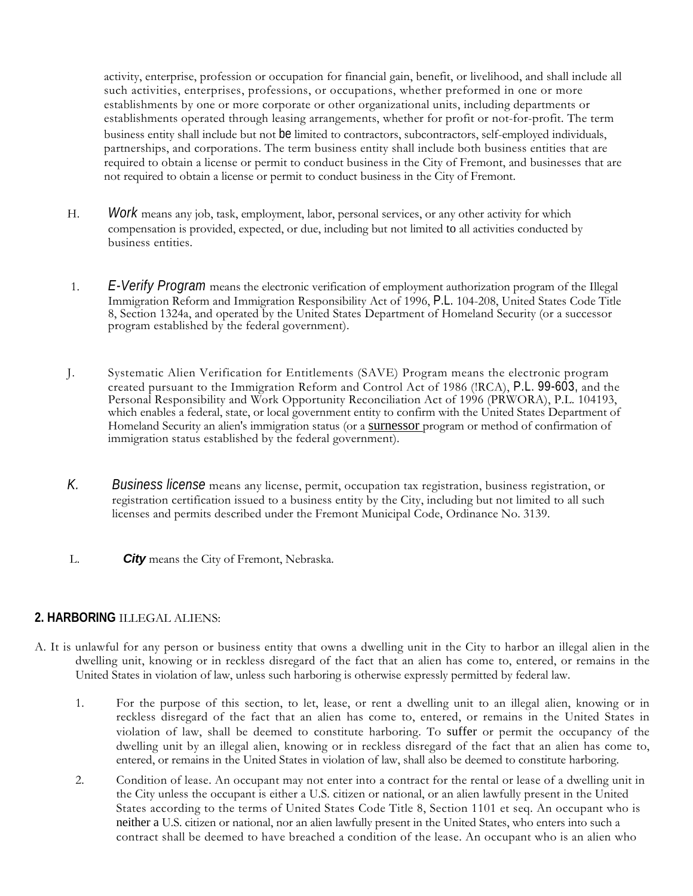establishments by one or more corporate or other organizational units, including departments or establishments operated through leasing arrangements, whether for profit or not-for-profit. The term partnerships, and corporations. The term business entity shall include both business entities that are activity, enterprise, profession or occupation for financial gain, benefit, or livelihood, and shall include all such activities, enterprises, professions, or occupations, whether preformed in one or more business entity shall include but not be limited to contractors, subcontractors, self-employed individuals, required to obtain a license or permit to conduct business in the City of Fremont, and businesses that are not required to obtain a license or permit to conduct business in the City of Fremont.

- H. *Work* means any job, task, employment, labor, personal services, or any other activity for which compensation is provided, expected, or due, including but not limited to all activities conducted by business entities.
- $1.$  Immigration Reform and Immigration Responsibility Act of 1996, P.L. 104-208, United States Code Title 1. *E-Verify Program* means the electronic verification of employment authorization program of the Illegal 8, Section 1324a, and operated by the United States Department of Homeland Security (or a successor program established by the federal government).
- J. Systematic Alien Verification for Entitlements (SAVE) Program means the electronic program created pursuant to the Immigration Reform and Control Act of 1986 (!RCA), P.L. 99-603, and the Personal Responsibility and Work Opportunity Reconciliation Act of 1996 (PRWORA), P.L. 104193, which enables a federal, state, or local government entity to confirm with the United States Department of Homeland Security an alien's immigration status (or a surnessor program or method of confirmation of immigration status established by the federal government).
- licenses and permits described under the Fremont Municipal Code, Ordinance No. 3139. *K. Business license* means any license, permit, occupation tax registration, business registration, or registration certification issued to a business entity by the City, including but not limited to all such
- L. *City* means the City of Fremont, Nebraska.

# **2. HARBORING** ILLEGAL ALIENS:

- dwelling unit, knowing or in reckless disregard of the fact that an alien has come to, entered, or remains in the United States in violation of law, unless such harboring is otherwise expressly permitted by federal law. A. It is unlawful for any person or business entity that owns a dwelling unit in the City to harbor an illegal alien in the
	- violation of law, shall be deemed to constitute harboring. To suffer or permit the occupancy of the entered, or remains in the United States in violation of law, shall also be deemed to constitute harboring. 1. For the purpose of this section, to let, lease, or rent a dwelling unit to an illegal alien, knowing or in reckless disregard of the fact that an alien has come to, entered, or remains in the United States in dwelling unit by an illegal alien, knowing or in reckless disregard of the fact that an alien has come to,
	- 2. Condition of lease. An occupant may not enter into a contract for the rental or lease of a dwelling unit in States according to the terms of United States Code Title 8, Section 1101 et seq. An occupant who is neither a U.S. citizen or national, nor an alien lawfully present in the United States, who enters into such a contract shall be deemed to have breached a condition of the lease. An occupant who is an alien who the City unless the occupant is either a U.S. citizen or national, or an alien lawfully present in the United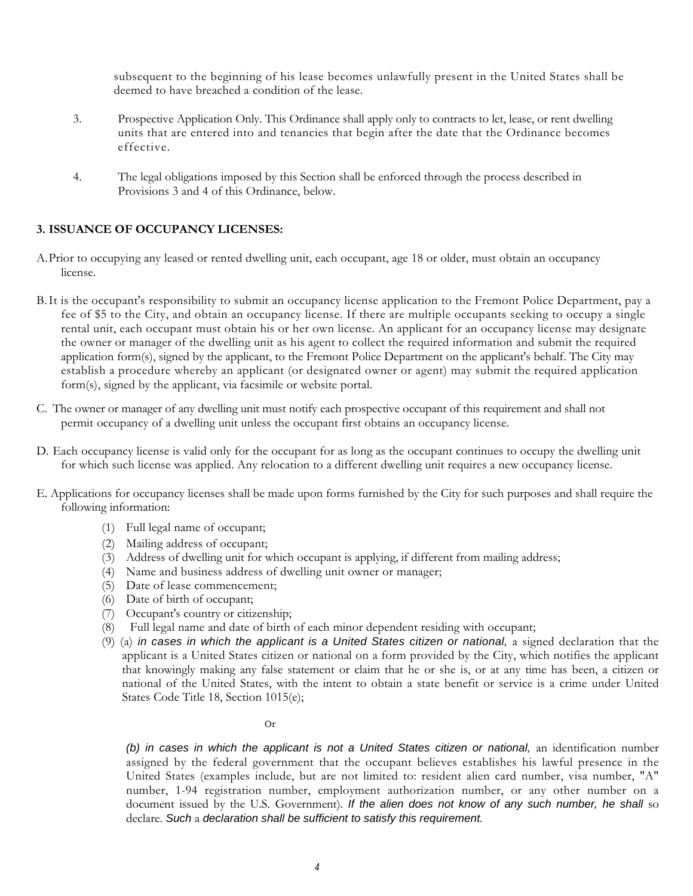subsequent to the beginning of his lease becomes unlawfully present in the United States shall be deemed to have breached a condition of the lease.

- 3. Prospective Application Only. This Ordinance shall apply only to contracts to let, lease, or rent dwelling units that are entered into and tenancies that begin after the date that the Ordinance becomes effective.
- 4. The legal obligations imposed by this Section shall be enforced through the process described in Provisions 3 and 4 of this Ordinance, below.

### **3. ISSUANCE OF OCCUPANCY LICENSES:**

- A.Prior to occupying any leased or rented dwelling unit, each occupant, age 18 or older, must obtain an occupancy license.
- the owner or manager of the dwelling unit as his agent to collect the required information and submit the required establish a procedure whereby an applicant (or designated owner or agent) may submit the required application B. It is the occupant's responsibility to submit an occupancy license application to the Fremont Police Department, pay a fee of \$5 to the City, and obtain an occupancy license. If there are multiple occupants seeking to occupy a single rental unit, each occupant must obtain his or her own license. An applicant for an occupancy license may designate application form(s), signed by the applicant, to the Fremont Police Department on the applicant's behalf. The City may form(s), signed by the applicant, via facsimile or website portal.
- C. The owner or manager of any dwelling unit must notify each prospective occupant of this requirement and shall not permit occupancy of a dwelling unit unless the occupant first obtains an occupancy license.
- D. Each occupancy license is valid only for the occupant for as long as the occupant continues to occupy the dwelling unit for which such license was applied. Any relocation to a different dwelling unit requires a new occupancy license.
- E. Applications for occupancy licenses shall be made upon forms furnished by the City for such purposes and shall require the following information:
	- (1) Full legal name of occupant;
	- (2) Mailing address of occupant;
	- (3) Address of dwelling unit for which occupant is applying, if different from mailing address;
	- (4) Name and business address of dwelling unit owner or manager;
	- (5) Date of lease commencement;
	- (6) Date of birth of occupant;
	- (7) Occupant's country or citizenship;
	- (8) Full legal name and date of birth of each minor dependent residing with occupant;
	- (9) (a) *in cases in which the applicant is a United States citizen or national,* a signed declaration that the applicant is a United States citizen or national on a form provided by the City, which notifies the applicant that knowingly making any false statement or claim that he or she is, or at any time has been, a citizen or national of the United States, with the intent to obtain a state benefit or service is a crime under United States Code Title 18, Section 1015(e);

#### Or

 United States (examples include, but are not limited to: resident alien card number, visa number, "A" *(b) in cases in which the applicant is not a United States citizen or national,* an identification number assigned by the federal government that the occupant believes establishes his lawful presence in the number, 1-94 registration number, employment authorization number, or any other number on a document issued by the U.S. Government). If the alien does not know of any such number, he shall so declare. *Such* a *declaration shall be sufficient to satisfy this requirement.*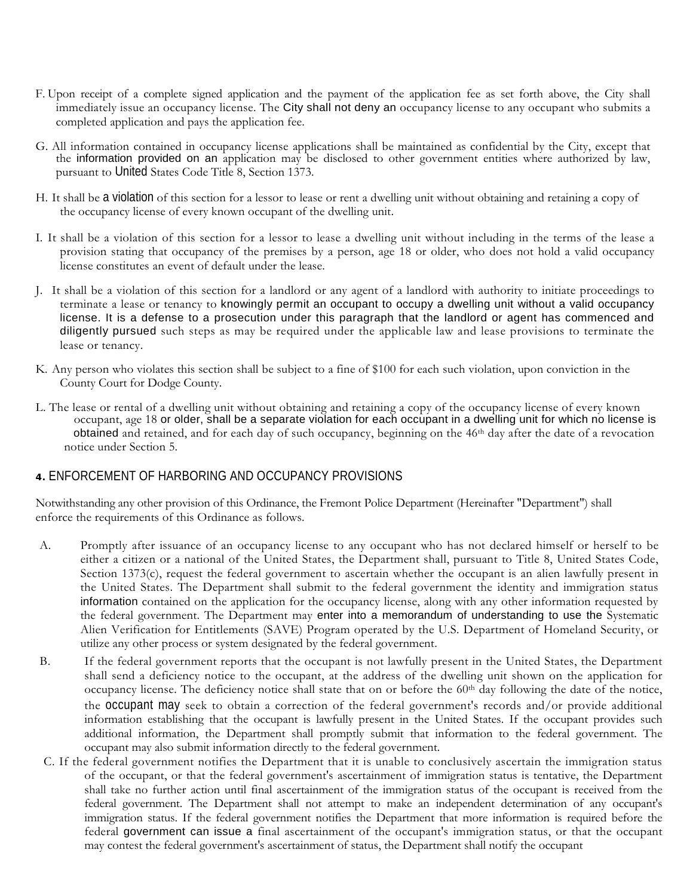- immediately issue an occupancy license. The City shall not deny an occupancy license to any occupant who submits a F. Upon receipt of a complete signed application and the payment of the application fee as set forth above, the City shall completed application and pays the application fee.
- G. All information contained in occupancy license applications shall be maintained as confidential by the City, except that the information provided on an application may be disclosed to other government entities where authorized by law, pursuant to United States Code Title 8, Section 1373.
- H. It shall be a violation of this section for a lessor to lease or rent a dwelling unit without obtaining and retaining a copy of the occupancy license of every known occupant of the dwelling unit.
- I. It shall be a violation of this section for a lessor to lease a dwelling unit without including in the terms of the lease a provision stating that occupancy of the premises by a person, age 18 or older, who does not hold a valid occupancy license constitutes an event of default under the lease.
- terminate a lease or tenancy to knowingly permit an occupant to occupy a dwelling unit without a valid occupancy J. It shall be a violation of this section for a landlord or any agent of a landlord with authority to initiate proceedings to license. It is a defense to a prosecution under this paragraph that the landlord or agent has commenced and diligently pursued such steps as may be required under the applicable law and lease provisions to terminate the lease or tenancy.
- K. Any person who violates this section shall be subject to a fine of \$100 for each such violation, upon conviction in the County Court for Dodge County.
- L. The lease or rental of a dwelling unit without obtaining and retaining a copy of the occupancy license of every known obtained and retained, and for each day of such occupancy, beginning on the 46<sup>th</sup> day after the date of a revocation occupant, age 18 or older, shall be a separate violation for each occupant in a dwelling unit for which no license is notice under Section 5.

# **4.** ENFORCEMENT OF HARBORING AND OCCUPANCY PROVISIONS

 enforce the requirements of this Ordinance as follows. Notwithstanding any other provision of this Ordinance, the Fremont Police Department (Hereinafter "Department") shall

- either a citizen or a national of the United States, the Department shall, pursuant to Title 8, United States Code, the United States. The Department shall submit to the federal government the identity and immigration status information contained on the application for the occupancy license, along with any other information requested by Alien Verification for Entitlements (SAVE) Program operated by the U.S. Department of Homeland Security, or utilize any other process or system designated by the federal government. A. Promptly after issuance of an occupancy license to any occupant who has not declared himself or herself to be Section 1373(c), request the federal government to ascertain whether the occupant is an alien lawfully present in the federal government. The Department may enter into a memorandum of understanding to use the Systematic
- B. If the federal government reports that the occupant is not lawfully present in the United States, the Department shall send a deficiency notice to the occupant, at the address of the dwelling unit shown on the application for the occupant may seek to obtain a correction of the federal government's records and/or provide additional occupancy license. The deficiency notice shall state that on or before the 60th day following the date of the notice, information establishing that the occupant is lawfully present in the United States. If the occupant provides such additional information, the Department shall promptly submit that information to the federal government. The occupant may also submit information directly to the federal government.
- of the occupant, or that the federal government's ascertainment of immigration status is tentative, the Department shall take no further action until final ascertainment of the immigration status of the occupant is received from the federal government. The Department shall not attempt to make an independent determination of any occupant's immigration status. If the federal government notifies the Department that more information is required before the federal government can issue a final ascertainment of the occupant's immigration status, or that the occupant C. If the federal government notifies the Department that it is unable to conclusively ascertain the immigration status may contest the federal government's ascertainment of status, the Department shall notify the occupant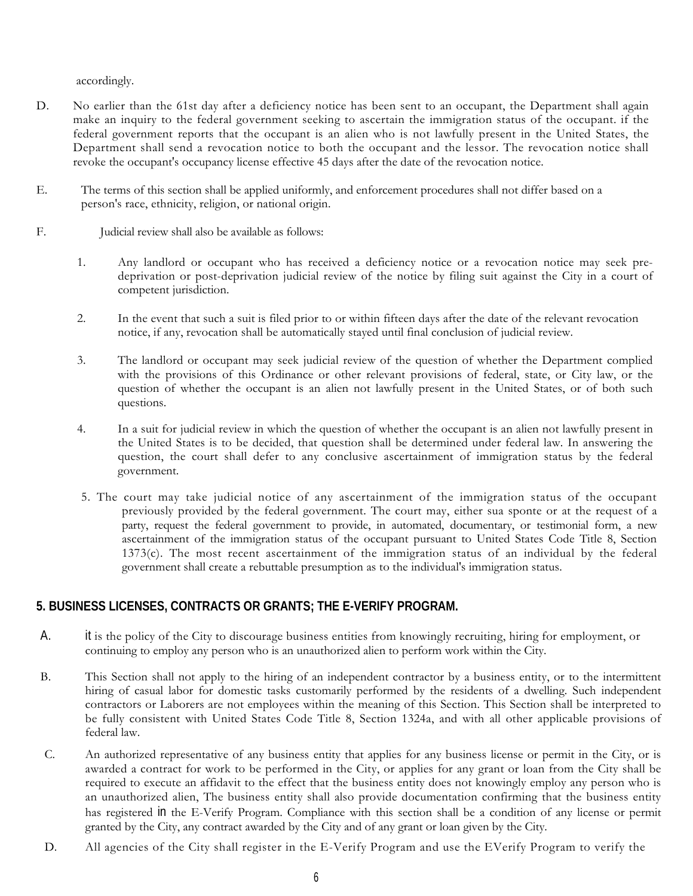accordingly.

- D. No earlier than the 61st day after a deficiency notice has been sent to an occupant, the Department shall again make an inquiry to the federal government seeking to ascertain the immigration status of the occupant. if the federal government reports that the occupant is an alien who is not lawfully present in the United States, the revoke the occupant's occupancy license effective 45 days after the date of the revocation notice. Department shall send a revocation notice to both the occupant and the lessor. The revocation notice shall
- E. The terms of this section shall be applied uniformly, and enforcement procedures shall not differ based on a person's race, ethnicity, religion, or national origin.
- F. Judicial review shall also be available as follows:
	- 1. Any landlord or occupant who has received a deficiency notice or a revocation notice may seek pre- deprivation or post-deprivation judicial review of the notice by filing suit against the City in a court of competent jurisdiction.
	- 2. In the event that such a suit is filed prior to or within fifteen days after the date of the relevant revocation notice, if any, revocation shall be automatically stayed until final conclusion of judicial review.
	- 3. The landlord or occupant may seek judicial review of the question of whether the Department complied with the provisions of this Ordinance or other relevant provisions of federal, state, or City law, or the question of whether the occupant is an alien not lawfully present in the United States, or of both such questions.
	- 4. In a suit for judicial review in which the question of whether the occupant is an alien not lawfully present in question, the court shall defer to any conclusive ascertainment of immigration status by the federal the United States is to be decided, that question shall be determined under federal law. In answering the government.
	- previously provided by the federal government. The court may, either sua sponte or at the request of a 1373(c). The most recent ascertainment of the immigration status of an individual by the federal government shall create a rebuttable presumption as to the individual's immigration status. 5. The court may take judicial notice of any ascertainment of the immigration status of the occupant party, request the federal government to provide, in automated, documentary, or testimonial form, a new ascertainment of the immigration status of the occupant pursuant to United States Code Title 8, Section

# **5. BUSINESS LICENSES, CONTRACTS OR GRANTS; THE E-VERIFY PROGRAM.**

- A. it is the policy of the City to discourage business entities from knowingly recruiting, hiring for employment, or continuing to employ any person who is an unauthorized alien to perform work within the City.
- B. This Section shall not apply to the hiring of an independent contractor by a business entity, or to the intermittent hiring of casual labor for domestic tasks customarily performed by the residents of a dwelling. Such independent be fully consistent with United States Code Title 8, Section 1324a, and with all other applicable provisions of contractors or Laborers are not employees within the meaning of this Section. This Section shall be interpreted to federal law.
- C. An authorized representative of any business entity that applies for any business license or permit in the City, or is awarded a contract for work to be performed in the City, or applies for any grant or loan from the City shall be required to execute an affidavit to the effect that the business entity does not knowingly employ any person who is an unauthorized alien, The business entity shall also provide documentation confirming that the business entity has registered in the E-Verify Program. Compliance with this section shall be a condition of any license or permit granted by the City, any contract awarded by the City and of any grant or loan given by the City.
- D. All agencies of the City shall register in the E-Verify Program and use the EVerify Program to verify the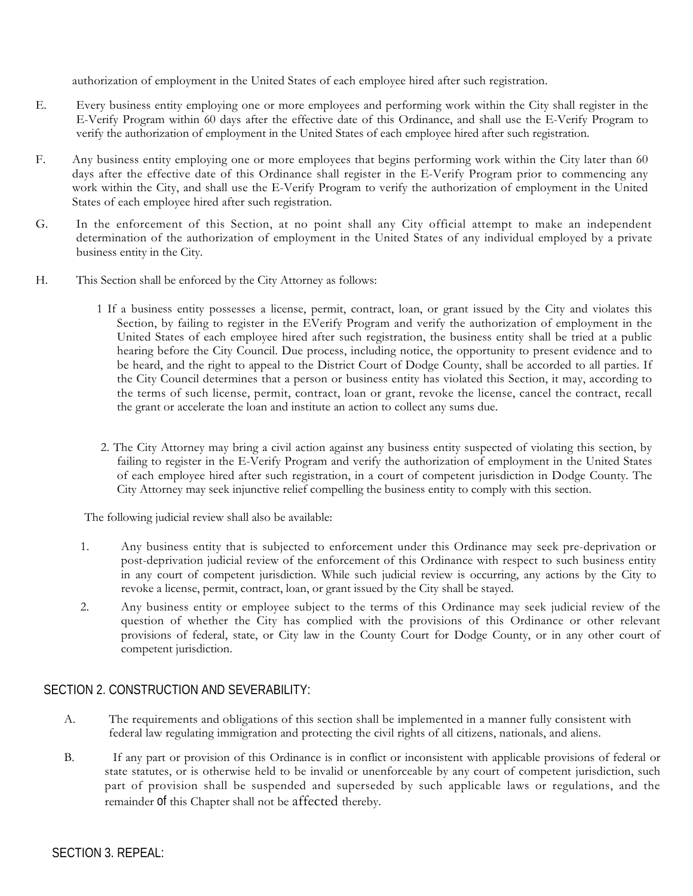authorization of employment in the United States of each employee hired after such registration.

- E. Every business entity employing one or more employees and performing work within the City shall register in the E-Verify Program within 60 days after the effective date of this Ordinance, and shall use the E-Verify Program to verify the authorization of employment in the United States of each employee hired after such registration.
- days after the effective date of this Ordinance shall register in the E-Verify Program prior to commencing any work within the City, and shall use the E-Verify Program to verify the authorization of employment in the United F. Any business entity employing one or more employees that begins performing work within the City later than 60 States of each employee hired after such registration.
- G. In the enforcement of this Section, at no point shall any City official attempt to make an independent determination of the authorization of employment in the United States of any individual employed by a private business entity in the City.
- H. This Section shall be enforced by the City Attorney as follows:
	- 1 If a business entity possesses a license, permit, contract, loan, or grant issued by the City and violates this Section, by failing to register in the EVerify Program and verify the authorization of employment in the hearing before the City Council. Due process, including notice, the opportunity to present evidence and to be heard, and the right to appeal to the District Court of Dodge County, shall be accorded to all parties. If the terms of such license, permit, contract, loan or grant, revoke the license, cancel the contract, recall the grant or accelerate the loan and institute an action to collect any sums due. United States of each employee hired after such registration, the business entity shall be tried at a public the City Council determines that a person or business entity has violated this Section, it may, according to
	- 2. The City Attorney may bring a civil action against any business entity suspected of violating this section, by City Attorney may seek injunctive relief compelling the business entity to comply with this section. failing to register in the E-Verify Program and verify the authorization of employment in the United States of each employee hired after such registration, in a court of competent jurisdiction in Dodge County. The

The following judicial review shall also be available:

- 1. Any business entity that is subjected to enforcement under this Ordinance may seek pre-deprivation or post-deprivation judicial review of the enforcement of this Ordinance with respect to such business entity in any court of competent jurisdiction. While such judicial review is occurring, any actions by the City to revoke a license, permit, contract, loan, or grant issued by the City shall be stayed.
- 2. Any business entity or employee subject to the terms of this Ordinance may seek judicial review of the question of whether the City has complied with the provisions of this Ordinance or other relevant provisions of federal, state, or City law in the County Court for Dodge County, or in any other court of competent jurisdiction.

# SECTION 2. CONSTRUCTION AND SEVERABILITY:

- A. The requirements and obligations of this section shall be implemented in a manner fully consistent with federal law regulating immigration and protecting the civil rights of all citizens, nationals, and aliens.
- B. If any part or provision of this Ordinance is in conflict or inconsistent with applicable provisions of federal or state statutes, or is otherwise held to be invalid or unenforceable by any court of competent jurisdiction, such part of provision shall be suspended and superseded by such applicable laws or regulations, and the remainder of this Chapter shall not be affected thereby.